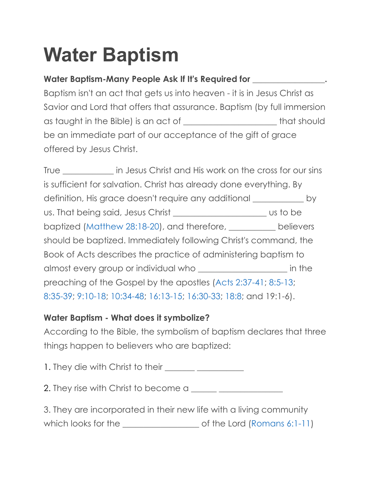## **Water Baptism**

## **Water Baptism-Many People Ask If It's Required for \_\_\_\_\_\_\_\_\_\_\_\_\_\_\_\_\_.**

Baptism isn't an act that gets us into heaven - it is in Jesus Christ as Savior and Lord that offers that assurance. Baptism (by full immersion as taught in the Bible) is an act of \_\_\_\_\_\_\_\_\_\_\_\_\_\_\_\_\_\_\_\_\_\_ that should be an immediate part of our acceptance of the gift of grace offered by Jesus Christ.

True True in Jesus Christ and His work on the cross for our sins is sufficient for salvation. Christ has already done everything. By definition, His grace doesn't require any additional \_\_\_\_\_\_\_\_\_\_\_\_ by us. That being said, Jesus Christ \_\_\_\_\_\_\_\_\_\_\_\_\_\_\_\_\_\_\_\_\_\_ us to be baptized (Matthew 28:18-20), and therefore, \_\_\_\_\_\_\_\_\_\_\_ believers should be baptized. Immediately following Christ's command, the Book of Acts describes the practice of administering baptism to almost every group or individual who \_\_\_\_\_\_\_\_\_\_\_\_\_\_\_\_\_\_\_\_\_ in the preaching of the Gospel by the apostles (Acts 2:37-41; 8:5-13; 8:35-39; 9:10-18; 10:34-48; 16:13-15; 16:30-33; 18:8; and 19:1-6).

## **Water Baptism - What does it symbolize?**

According to the Bible, the symbolism of baptism declares that three things happen to believers who are baptized:

1. They die with Christ to their \_\_\_\_\_\_\_ \_\_\_\_\_\_\_\_\_\_\_

2. They rise with Christ to become a \_\_\_\_\_\_ \_\_\_\_\_\_\_\_\_\_\_\_\_\_\_

3. They are incorporated in their new life with a living community which looks for the \_\_\_\_\_\_\_\_\_\_\_\_\_\_\_\_\_\_ of the Lord (Romans 6:1-11)